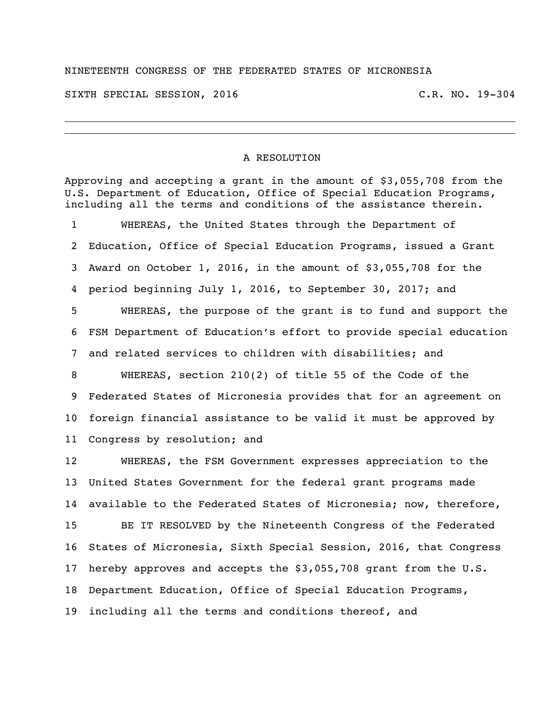## NINETEENTH CONGRESS OF THE FEDERATED STATES OF MICRONESIA

SIXTH SPECIAL SESSION, 2016 C.R. NO. 19-304

## A RESOLUTION

Approving and accepting a grant in the amount of \$3,055,708 from the U.S. Department of Education, Office of Special Education Programs, including all the terms and conditions of the assistance therein. WHEREAS, the United States through the Department of Education, Office of Special Education Programs, issued a Grant Award on October 1, 2016, in the amount of \$3,055,708 for the period beginning July 1, 2016, to September 30, 2017; and WHEREAS, the purpose of the grant is to fund and support the FSM Department of Education's effort to provide special education and related services to children with disabilities; and WHEREAS, section 210(2) of title 55 of the Code of the Federated States of Micronesia provides that for an agreement on foreign financial assistance to be valid it must be approved by Congress by resolution; and WHEREAS, the FSM Government expresses appreciation to the United States Government for the federal grant programs made available to the Federated States of Micronesia; now, therefore, BE IT RESOLVED by the Nineteenth Congress of the Federated States of Micronesia, Sixth Special Session, 2016, that Congress hereby approves and accepts the \$3,055,708 grant from the U.S. Department Education, Office of Special Education Programs, including all the terms and conditions thereof, and